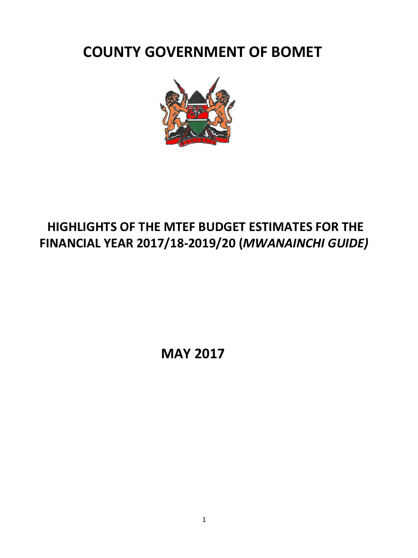**COUNTY GOVERNMENT OF BOMET**



# **HIGHLIGHTS OF THE MTEF BUDGET ESTIMATES FOR THE FINANCIAL YEAR 2017/18-2019/20 (***MWANAINCHI GUIDE)*

 **MAY 2017**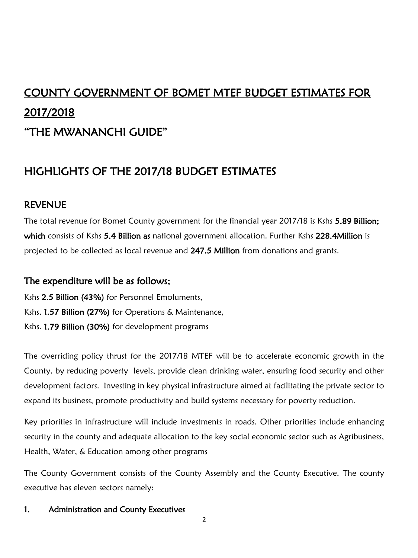# COUNTY GOVERNMENT OF BOMET MTEF BUDGET ESTIMATES FOR 2017/2018

# "THE MWANANCHI GUIDE"

# HIGHLIGHTS OF THE 2017/18 BUDGET ESTIMATES

# REVENUE

The total revenue for Bomet County government for the financial year 2017/18 is Kshs 5.89 Billion; which consists of Kshs 5.4 Billion as national government allocation. Further Kshs 228.4Million is projected to be collected as local revenue and 247.5 Million from donations and grants.

# The expenditure will be as follows;

Kshs 2.5 Billion (43%) for Personnel Emoluments, Kshs. 1.57 Billion (27%) for Operations & Maintenance, Kshs. 1.79 Billion (30%) for development programs

The overriding policy thrust for the 2017/18 MTEF will be to accelerate economic growth in the County, by reducing poverty levels, provide clean drinking water, ensuring food security and other development factors. Investing in key physical infrastructure aimed at facilitating the private sector to expand its business, promote productivity and build systems necessary for poverty reduction.

Key priorities in infrastructure will include investments in roads. Other priorities include enhancing security in the county and adequate allocation to the key social economic sector such as Agribusiness, Health, Water, & Education among other programs

The County Government consists of the County Assembly and the County Executive. The county executive has eleven sectors namely:

# 1. Administration and County Executives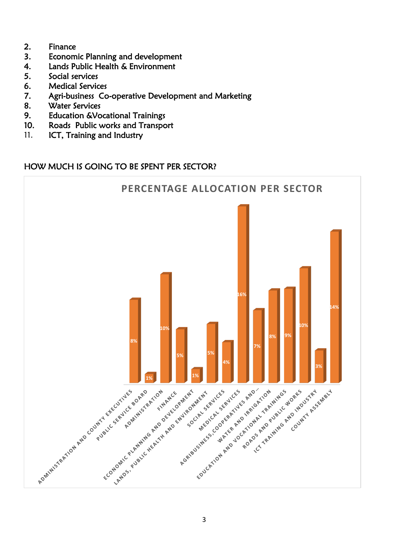- 2. Finance
- 3. Economic Planning and development
- 4. Lands Public Health & Environment
- 5. Social services
- 6. Medical Services
- 7. Agri-business Co-operative Development and Marketing
- 8. Water Services
- 9. Education &Vocational Trainings
- 10. Roads Public works and Transport
- 11. ICT, Training and Industry

# HOW MUCH IS GOING TO BE SPENT PER SECTOR?

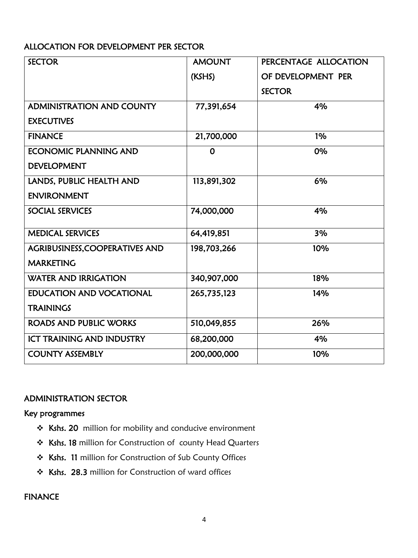# ALLOCATION FOR DEVELOPMENT PER SECTOR

| <b>SECTOR</b>                    | <b>AMOUNT</b> | PERCENTAGE ALLOCATION |
|----------------------------------|---------------|-----------------------|
|                                  | (KSHS)        | OF DEVELOPMENT PER    |
|                                  |               | <b>SECTOR</b>         |
| <b>ADMINISTRATION AND COUNTY</b> | 77,391,654    | 4%                    |
| <b>EXECUTIVES</b>                |               |                       |
| <b>FINANCE</b>                   | 21,700,000    | 1%                    |
| <b>ECONOMIC PLANNING AND</b>     | 0             | 0%                    |
| <b>DEVELOPMENT</b>               |               |                       |
| LANDS, PUBLIC HEALTH AND         | 113,891,302   | 6%                    |
| <b>ENVIRONMENT</b>               |               |                       |
| <b>SOCIAL SERVICES</b>           | 74,000,000    | 4%                    |
| <b>MEDICAL SERVICES</b>          | 64,419,851    | 3%                    |
| AGRIBUSINESS, COOPERATIVES AND   | 198,703,266   | 10%                   |
| <b>MARKETING</b>                 |               |                       |
| <b>WATER AND IRRIGATION</b>      | 340,907,000   | 18%                   |
| <b>EDUCATION AND VOCATIONAL</b>  | 265,735,123   | 14%                   |
| <b>TRAININGS</b>                 |               |                       |
| <b>ROADS AND PUBLIC WORKS</b>    | 510,049,855   | 26%                   |
| <b>ICT TRAINING AND INDUSTRY</b> | 68,200,000    | 4%                    |
| <b>COUNTY ASSEMBLY</b>           | 200,000,000   | 10%                   |

# ADMINISTRATION SECTOR

#### Key programmes

- \* Kshs. 20 million for mobility and conducive environment
- \* Kshs. 18 million for Construction of county Head Quarters
- \* Kshs. 11 million for Construction of Sub County Offices
- \* Kshs. 28.3 million for Construction of ward offices

# FINANCE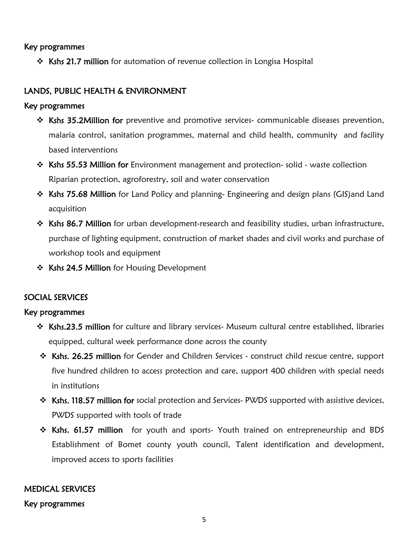#### Key programmes

Kshs 21.7 million for automation of revenue collection in Longisa Hospital

# LANDS, PUBLIC HEALTH & ENVIRONMENT

#### Key programmes

- \* Kshs 35.2Million for preventive and promotive services- communicable diseases prevention, malaria control, sanitation programmes, maternal and child health, community and facility based interventions
- $\cdot$  Kshs 55.53 Million for Environment management and protection-solid waste collection Riparian protection, agroforestry, soil and water conservation
- \* Kshs 75.68 Million for Land Policy and planning- Engineering and design plans (GIS) and Land acquisition
- \* Kshs 86.7 Million for urban development-research and feasibility studies, urban infrastructure, purchase of lighting equipment, construction of market shades and civil works and purchase of workshop tools and equipment
- ❖ Kshs 24.5 Million for Housing Development

# SOCIAL SERVICES

#### Key programmes

- Kshs.23.5 million for culture and library services- Museum cultural centre established, libraries equipped, cultural week performance done across the county
- \* Kshs. 26.25 million for Gender and Children Services construct child rescue centre, support five hundred children to access protection and care, support 400 children with special needs in institutions
- \* Kshs. 118.57 million for social protection and Services- PWDS supported with assistive devices, PWDS supported with tools of trade
- \* Kshs. 61.57 million for youth and sports- Youth trained on entrepreneurship and BDS Establishment of Bomet county youth council, Talent identification and development, improved access to sports facilities

#### MEDICAL SERVICES

#### Key programmes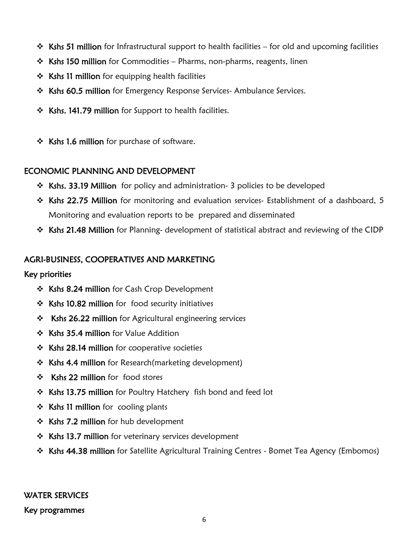- $\cdot$  Kshs 51 million for Infrastructural support to health facilities for old and upcoming facilities
- $\div$  Kshs 150 million for Commodities Pharms, non-pharms, reagents, linen
- $\div$  Kshs 11 million for equipping health facilities
- \* Kshs 60.5 million for Emergency Response Services- Ambulance Services.
- \* Kshs. 141.79 million for Support to health facilities.
- \* Kshs 1.6 million for purchase of software.

#### ECONOMIC PLANNING AND DEVELOPMENT

- **\*** Kshs. 33.19 Million for policy and administration- 3 policies to be developed
- $\cdot$  Kshs 22.75 Million for monitoring and evaluation services- Establishment of a dashboard, 5 Monitoring and evaluation reports to be prepared and disseminated
- \* Kshs 21.48 Million for Planning- development of statistical abstract and reviewing of the CIDP

# AGRI-BUSINESS, COOPERATIVES AND MARKETING

#### Key priorities

- \* Kshs 8.24 million for Cash Crop Development
- $\div$  Kshs 10.82 million for food security initiatives
- \* Kshs 26.22 million for Agricultural engineering services
- $\div$  Kshs 35.4 million for Value Addition
- $\div$  Kshs 28.14 million for cooperative societies
- \* Kshs 4.4 million for Research(marketing development)
- ❖ Kshs 22 million for food stores
- Kshs 13.75 million for Poultry Hatchery fish bond and feed lot
- $\div$  Kshs 11 million for cooling plants
- \* Kshs 7.2 million for hub development
- \* Kshs 13.7 million for veterinary services development
- \* Kshs 44.38 million for Satellite Agricultural Training Centres Bomet Tea Agency (Embomos)

# WATER SERVICES

#### Key programmes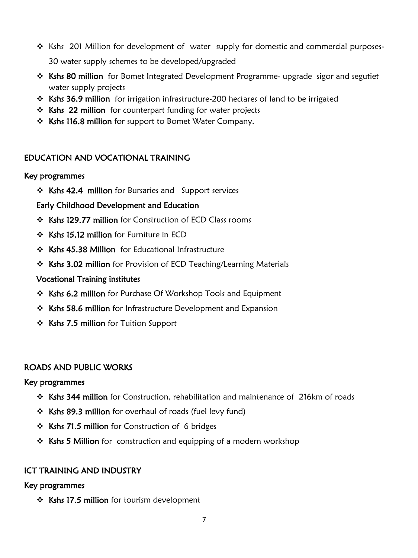- \* Kshs 201 Million for development of water supply for domestic and commercial purposes-30 water supply schemes to be developed/upgraded
- \* Kshs 80 million for Bomet Integrated Development Programme- upgrade sigor and segutiet water supply projects
- $\cdot$  Kshs 36.9 million for irrigation infrastructure-200 hectares of land to be irrigated
- ❖ Kshs 22 million for counterpart funding for water projects
- \* Kshs 116.8 million for support to Bomet Water Company.

# EDUCATION AND VOCATIONAL TRAINING

#### Key programmes

**❖ Kshs 42.4 million** for Bursaries and Support services

# Early Childhood Development and Education

- \* Kshs 129.77 million for Construction of ECD Class rooms
- Kshs 15.12 million for Furniture in ECD
- Kshs 45.38 Million for Educational Infrastructure
- \* Kshs 3.02 million for Provision of ECD Teaching/Learning Materials

# Vocational Training institutes

- Kshs 6.2 million for Purchase Of Workshop Tools and Equipment
- Kshs 58.6 million for Infrastructure Development and Expansion
- ❖ Kshs 7.5 million for Tuition Support

# ROADS AND PUBLIC WORKS

Key programmes

- \* Kshs 344 million for Construction, rehabilitation and maintenance of 216km of roads
- \* Kshs 89.3 million for overhaul of roads (fuel levy fund)
- **Extramage 71.5 million for Construction of 6 bridges**
- **Exhs 5 Million** for construction and equipping of a modern workshop

# ICT TRAINING AND INDUSTRY

Key programmes

 $\div$  Kshs 17.5 million for tourism development